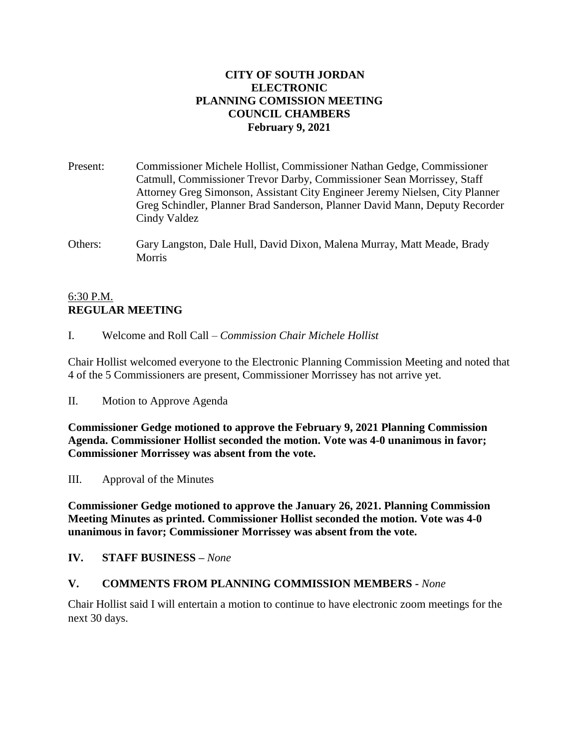### **CITY OF SOUTH JORDAN ELECTRONIC PLANNING COMISSION MEETING COUNCIL CHAMBERS February 9, 2021**

- Present: Commissioner Michele Hollist, Commissioner Nathan Gedge, Commissioner Catmull, Commissioner Trevor Darby, Commissioner Sean Morrissey, Staff Attorney Greg Simonson, Assistant City Engineer Jeremy Nielsen, City Planner Greg Schindler, Planner Brad Sanderson, Planner David Mann, Deputy Recorder Cindy Valdez
- Others: Gary Langston, Dale Hull, David Dixon, Malena Murray, Matt Meade, Brady **Morris**

## 6:30 P.M. **REGULAR MEETING**

I. Welcome and Roll Call – *Commission Chair Michele Hollist*

Chair Hollist welcomed everyone to the Electronic Planning Commission Meeting and noted that 4 of the 5 Commissioners are present, Commissioner Morrissey has not arrive yet.

II. Motion to Approve Agenda

**Commissioner Gedge motioned to approve the February 9, 2021 Planning Commission Agenda. Commissioner Hollist seconded the motion. Vote was 4-0 unanimous in favor; Commissioner Morrissey was absent from the vote.**

III. Approval of the Minutes

**Commissioner Gedge motioned to approve the January 26, 2021. Planning Commission Meeting Minutes as printed. Commissioner Hollist seconded the motion. Vote was 4-0 unanimous in favor; Commissioner Morrissey was absent from the vote.**

**IV. STAFF BUSINESS –** *None*

## **V. COMMENTS FROM PLANNING COMMISSION MEMBERS -** *None*

Chair Hollist said I will entertain a motion to continue to have electronic zoom meetings for the next 30 days.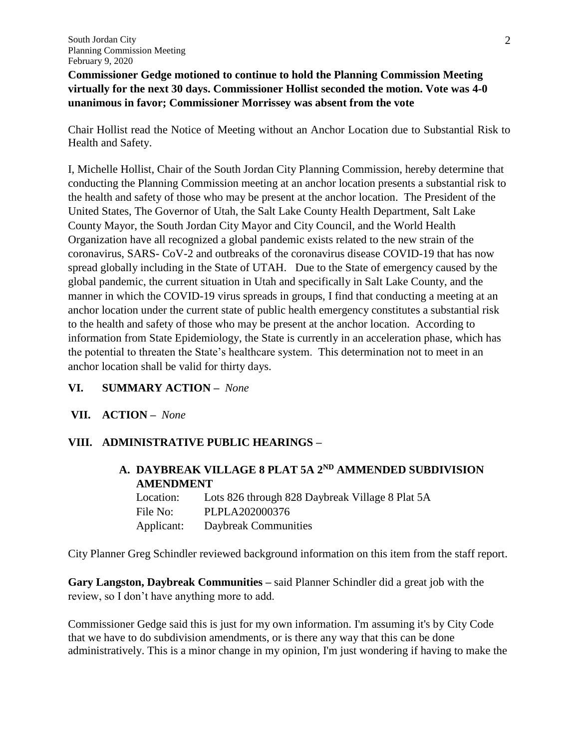**Commissioner Gedge motioned to continue to hold the Planning Commission Meeting virtually for the next 30 days. Commissioner Hollist seconded the motion. Vote was 4-0 unanimous in favor; Commissioner Morrissey was absent from the vote**

Chair Hollist read the Notice of Meeting without an Anchor Location due to Substantial Risk to Health and Safety.

I, Michelle Hollist, Chair of the South Jordan City Planning Commission, hereby determine that conducting the Planning Commission meeting at an anchor location presents a substantial risk to the health and safety of those who may be present at the anchor location. The President of the United States, The Governor of Utah, the Salt Lake County Health Department, Salt Lake County Mayor, the South Jordan City Mayor and City Council, and the World Health Organization have all recognized a global pandemic exists related to the new strain of the coronavirus, SARS- CoV-2 and outbreaks of the coronavirus disease COVID-19 that has now spread globally including in the State of UTAH. Due to the State of emergency caused by the global pandemic, the current situation in Utah and specifically in Salt Lake County, and the manner in which the COVID-19 virus spreads in groups, I find that conducting a meeting at an anchor location under the current state of public health emergency constitutes a substantial risk to the health and safety of those who may be present at the anchor location. According to information from State Epidemiology, the State is currently in an acceleration phase, which has the potential to threaten the State's healthcare system. This determination not to meet in an anchor location shall be valid for thirty days.

#### **VI. SUMMARY ACTION –** *None*

**VII. ACTION –** *None*

## **VIII. ADMINISTRATIVE PUBLIC HEARINGS –**

# **A. DAYBREAK VILLAGE 8 PLAT 5A 2ND AMMENDED SUBDIVISION AMENDMENT**

Location: Lots 826 through 828 Daybreak Village 8 Plat 5A File No: PLPLA202000376 Applicant: Daybreak Communities

City Planner Greg Schindler reviewed background information on this item from the staff report.

**Gary Langston, Daybreak Communities –** said Planner Schindler did a great job with the review, so I don't have anything more to add.

Commissioner Gedge said this is just for my own information. I'm assuming it's by City Code that we have to do subdivision amendments, or is there any way that this can be done administratively. This is a minor change in my opinion, I'm just wondering if having to make the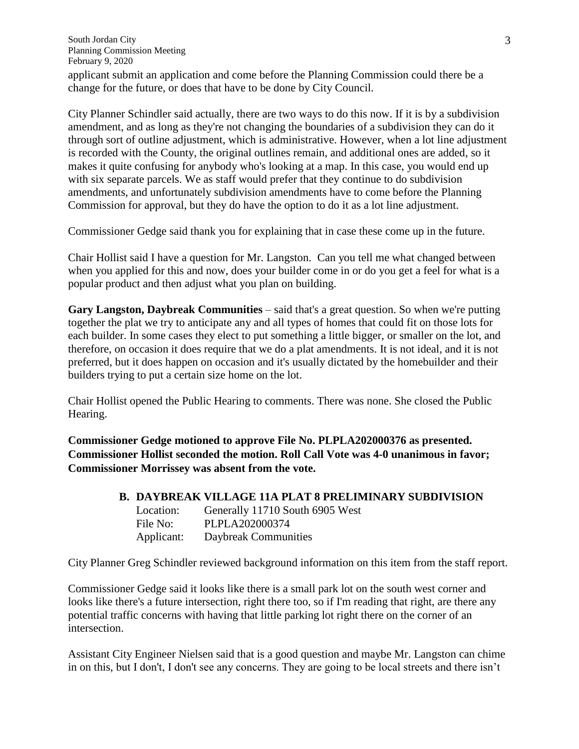applicant submit an application and come before the Planning Commission could there be a change for the future, or does that have to be done by City Council.

City Planner Schindler said actually, there are two ways to do this now. If it is by a subdivision amendment, and as long as they're not changing the boundaries of a subdivision they can do it through sort of outline adjustment, which is administrative. However, when a lot line adjustment is recorded with the County, the original outlines remain, and additional ones are added, so it makes it quite confusing for anybody who's looking at a map. In this case, you would end up with six separate parcels. We as staff would prefer that they continue to do subdivision amendments, and unfortunately subdivision amendments have to come before the Planning Commission for approval, but they do have the option to do it as a lot line adjustment.

Commissioner Gedge said thank you for explaining that in case these come up in the future.

Chair Hollist said I have a question for Mr. Langston. Can you tell me what changed between when you applied for this and now, does your builder come in or do you get a feel for what is a popular product and then adjust what you plan on building.

**Gary Langston, Daybreak Communities** – said that's a great question. So when we're putting together the plat we try to anticipate any and all types of homes that could fit on those lots for each builder. In some cases they elect to put something a little bigger, or smaller on the lot, and therefore, on occasion it does require that we do a plat amendments. It is not ideal, and it is not preferred, but it does happen on occasion and it's usually dictated by the homebuilder and their builders trying to put a certain size home on the lot.

Chair Hollist opened the Public Hearing to comments. There was none. She closed the Public Hearing.

**Commissioner Gedge motioned to approve File No. PLPLA202000376 as presented. Commissioner Hollist seconded the motion. Roll Call Vote was 4-0 unanimous in favor; Commissioner Morrissey was absent from the vote.**

## **B. DAYBREAK VILLAGE 11A PLAT 8 PRELIMINARY SUBDIVISION**

Location: Generally 11710 South 6905 West File No: PLPLA202000374 Applicant: Daybreak Communities

City Planner Greg Schindler reviewed background information on this item from the staff report.

Commissioner Gedge said it looks like there is a small park lot on the south west corner and looks like there's a future intersection, right there too, so if I'm reading that right, are there any potential traffic concerns with having that little parking lot right there on the corner of an intersection.

Assistant City Engineer Nielsen said that is a good question and maybe Mr. Langston can chime in on this, but I don't, I don't see any concerns. They are going to be local streets and there isn't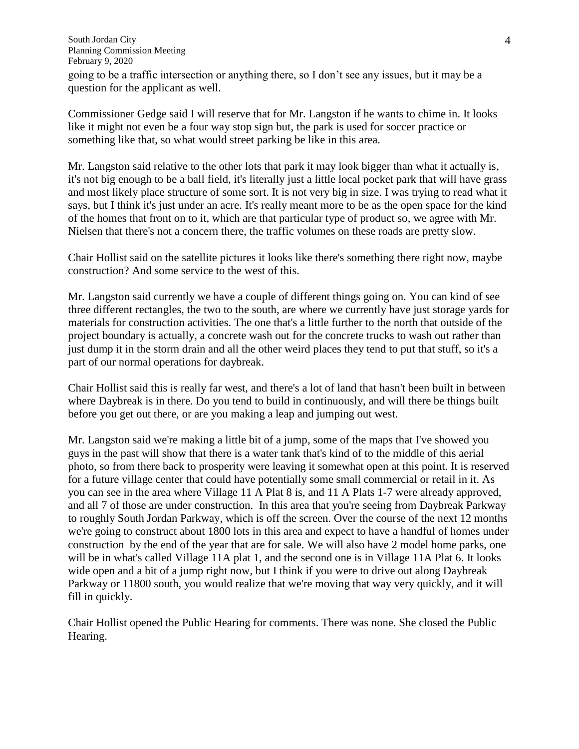South Jordan City Planning Commission Meeting February 9, 2020 going to be a traffic intersection or anything there, so I don't see any issues, but it may be a question for the applicant as well.

Commissioner Gedge said I will reserve that for Mr. Langston if he wants to chime in. It looks like it might not even be a four way stop sign but, the park is used for soccer practice or something like that, so what would street parking be like in this area.

Mr. Langston said relative to the other lots that park it may look bigger than what it actually is, it's not big enough to be a ball field, it's literally just a little local pocket park that will have grass and most likely place structure of some sort. It is not very big in size. I was trying to read what it says, but I think it's just under an acre. It's really meant more to be as the open space for the kind of the homes that front on to it, which are that particular type of product so, we agree with Mr. Nielsen that there's not a concern there, the traffic volumes on these roads are pretty slow.

Chair Hollist said on the satellite pictures it looks like there's something there right now, maybe construction? And some service to the west of this.

Mr. Langston said currently we have a couple of different things going on. You can kind of see three different rectangles, the two to the south, are where we currently have just storage yards for materials for construction activities. The one that's a little further to the north that outside of the project boundary is actually, a concrete wash out for the concrete trucks to wash out rather than just dump it in the storm drain and all the other weird places they tend to put that stuff, so it's a part of our normal operations for daybreak.

Chair Hollist said this is really far west, and there's a lot of land that hasn't been built in between where Daybreak is in there. Do you tend to build in continuously, and will there be things built before you get out there, or are you making a leap and jumping out west.

Mr. Langston said we're making a little bit of a jump, some of the maps that I've showed you guys in the past will show that there is a water tank that's kind of to the middle of this aerial photo, so from there back to prosperity were leaving it somewhat open at this point. It is reserved for a future village center that could have potentially some small commercial or retail in it. As you can see in the area where Village 11 A Plat 8 is, and 11 A Plats 1-7 were already approved, and all 7 of those are under construction. In this area that you're seeing from Daybreak Parkway to roughly South Jordan Parkway, which is off the screen. Over the course of the next 12 months we're going to construct about 1800 lots in this area and expect to have a handful of homes under construction by the end of the year that are for sale. We will also have 2 model home parks, one will be in what's called Village 11A plat 1, and the second one is in Village 11A Plat 6. It looks wide open and a bit of a jump right now, but I think if you were to drive out along Daybreak Parkway or 11800 south, you would realize that we're moving that way very quickly, and it will fill in quickly.

Chair Hollist opened the Public Hearing for comments. There was none. She closed the Public Hearing.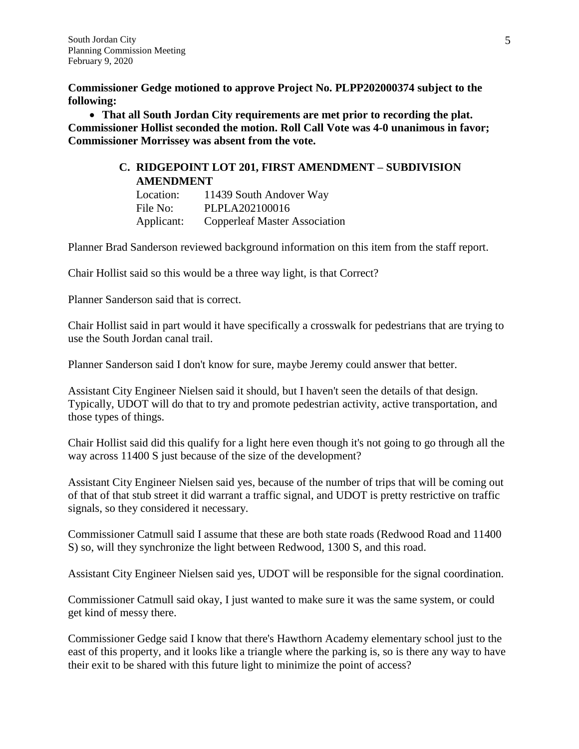**Commissioner Gedge motioned to approve Project No. PLPP202000374 subject to the following:** 

 **That all South Jordan City requirements are met prior to recording the plat. Commissioner Hollist seconded the motion. Roll Call Vote was 4-0 unanimous in favor; Commissioner Morrissey was absent from the vote.**

# **C. RIDGEPOINT LOT 201, FIRST AMENDMENT – SUBDIVISION AMENDMENT**

Location: 11439 South Andover Way File No: PLPLA202100016 Applicant: Copperleaf Master Association

Planner Brad Sanderson reviewed background information on this item from the staff report.

Chair Hollist said so this would be a three way light, is that Correct?

Planner Sanderson said that is correct.

Chair Hollist said in part would it have specifically a crosswalk for pedestrians that are trying to use the South Jordan canal trail.

Planner Sanderson said I don't know for sure, maybe Jeremy could answer that better.

Assistant City Engineer Nielsen said it should, but I haven't seen the details of that design. Typically, UDOT will do that to try and promote pedestrian activity, active transportation, and those types of things.

Chair Hollist said did this qualify for a light here even though it's not going to go through all the way across 11400 S just because of the size of the development?

Assistant City Engineer Nielsen said yes, because of the number of trips that will be coming out of that of that stub street it did warrant a traffic signal, and UDOT is pretty restrictive on traffic signals, so they considered it necessary.

Commissioner Catmull said I assume that these are both state roads (Redwood Road and 11400 S) so, will they synchronize the light between Redwood, 1300 S, and this road.

Assistant City Engineer Nielsen said yes, UDOT will be responsible for the signal coordination.

Commissioner Catmull said okay, I just wanted to make sure it was the same system, or could get kind of messy there.

Commissioner Gedge said I know that there's Hawthorn Academy elementary school just to the east of this property, and it looks like a triangle where the parking is, so is there any way to have their exit to be shared with this future light to minimize the point of access?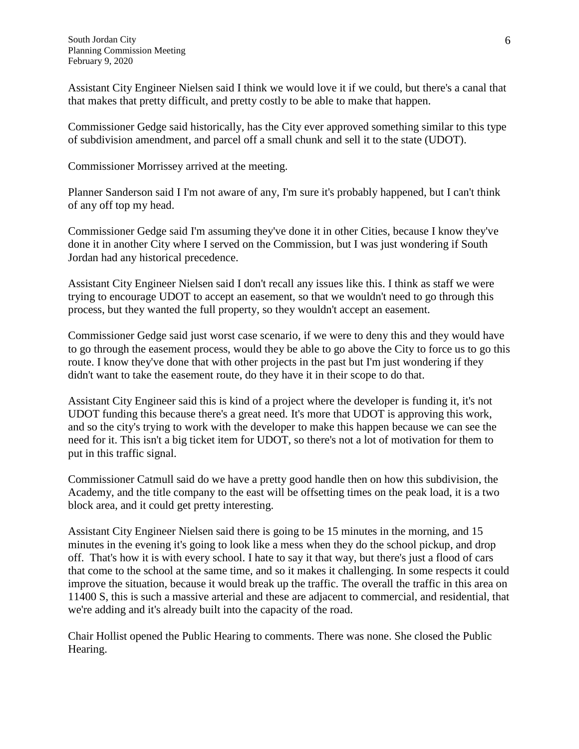Assistant City Engineer Nielsen said I think we would love it if we could, but there's a canal that that makes that pretty difficult, and pretty costly to be able to make that happen.

Commissioner Gedge said historically, has the City ever approved something similar to this type of subdivision amendment, and parcel off a small chunk and sell it to the state (UDOT).

Commissioner Morrissey arrived at the meeting.

Planner Sanderson said I I'm not aware of any, I'm sure it's probably happened, but I can't think of any off top my head.

Commissioner Gedge said I'm assuming they've done it in other Cities, because I know they've done it in another City where I served on the Commission, but I was just wondering if South Jordan had any historical precedence.

Assistant City Engineer Nielsen said I don't recall any issues like this. I think as staff we were trying to encourage UDOT to accept an easement, so that we wouldn't need to go through this process, but they wanted the full property, so they wouldn't accept an easement.

Commissioner Gedge said just worst case scenario, if we were to deny this and they would have to go through the easement process, would they be able to go above the City to force us to go this route. I know they've done that with other projects in the past but I'm just wondering if they didn't want to take the easement route, do they have it in their scope to do that.

Assistant City Engineer said this is kind of a project where the developer is funding it, it's not UDOT funding this because there's a great need. It's more that UDOT is approving this work, and so the city's trying to work with the developer to make this happen because we can see the need for it. This isn't a big ticket item for UDOT, so there's not a lot of motivation for them to put in this traffic signal.

Commissioner Catmull said do we have a pretty good handle then on how this subdivision, the Academy, and the title company to the east will be offsetting times on the peak load, it is a two block area, and it could get pretty interesting.

Assistant City Engineer Nielsen said there is going to be 15 minutes in the morning, and 15 minutes in the evening it's going to look like a mess when they do the school pickup, and drop off. That's how it is with every school. I hate to say it that way, but there's just a flood of cars that come to the school at the same time, and so it makes it challenging. In some respects it could improve the situation, because it would break up the traffic. The overall the traffic in this area on 11400 S, this is such a massive arterial and these are adjacent to commercial, and residential, that we're adding and it's already built into the capacity of the road.

Chair Hollist opened the Public Hearing to comments. There was none. She closed the Public Hearing.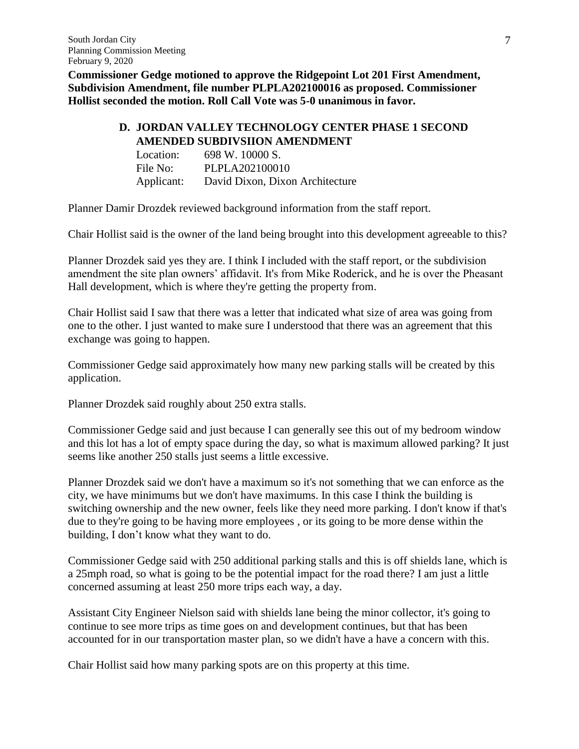**Commissioner Gedge motioned to approve the Ridgepoint Lot 201 First Amendment, Subdivision Amendment, file number PLPLA202100016 as proposed. Commissioner Hollist seconded the motion. Roll Call Vote was 5-0 unanimous in favor.**

# **D. JORDAN VALLEY TECHNOLOGY CENTER PHASE 1 SECOND AMENDED SUBDIVSIION AMENDMENT**

| Location:  | 698 W. 10000 S.                 |
|------------|---------------------------------|
| File No:   | PLPLA202100010                  |
| Applicant: | David Dixon, Dixon Architecture |

Planner Damir Drozdek reviewed background information from the staff report.

Chair Hollist said is the owner of the land being brought into this development agreeable to this?

Planner Drozdek said yes they are. I think I included with the staff report, or the subdivision amendment the site plan owners' affidavit. It's from Mike Roderick, and he is over the Pheasant Hall development, which is where they're getting the property from.

Chair Hollist said I saw that there was a letter that indicated what size of area was going from one to the other. I just wanted to make sure I understood that there was an agreement that this exchange was going to happen.

Commissioner Gedge said approximately how many new parking stalls will be created by this application.

Planner Drozdek said roughly about 250 extra stalls.

Commissioner Gedge said and just because I can generally see this out of my bedroom window and this lot has a lot of empty space during the day, so what is maximum allowed parking? It just seems like another 250 stalls just seems a little excessive.

Planner Drozdek said we don't have a maximum so it's not something that we can enforce as the city, we have minimums but we don't have maximums. In this case I think the building is switching ownership and the new owner, feels like they need more parking. I don't know if that's due to they're going to be having more employees , or its going to be more dense within the building, I don't know what they want to do.

Commissioner Gedge said with 250 additional parking stalls and this is off shields lane, which is a 25mph road, so what is going to be the potential impact for the road there? I am just a little concerned assuming at least 250 more trips each way, a day.

Assistant City Engineer Nielson said with shields lane being the minor collector, it's going to continue to see more trips as time goes on and development continues, but that has been accounted for in our transportation master plan, so we didn't have a have a concern with this.

Chair Hollist said how many parking spots are on this property at this time.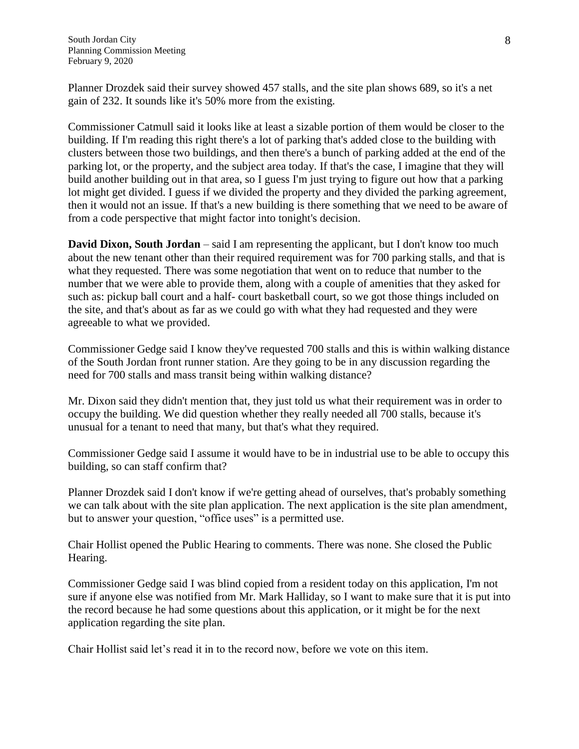Planner Drozdek said their survey showed 457 stalls, and the site plan shows 689, so it's a net gain of 232. It sounds like it's 50% more from the existing.

Commissioner Catmull said it looks like at least a sizable portion of them would be closer to the building. If I'm reading this right there's a lot of parking that's added close to the building with clusters between those two buildings, and then there's a bunch of parking added at the end of the parking lot, or the property, and the subject area today. If that's the case, I imagine that they will build another building out in that area, so I guess I'm just trying to figure out how that a parking lot might get divided. I guess if we divided the property and they divided the parking agreement, then it would not an issue. If that's a new building is there something that we need to be aware of from a code perspective that might factor into tonight's decision.

**David Dixon, South Jordan** – said I am representing the applicant, but I don't know too much about the new tenant other than their required requirement was for 700 parking stalls, and that is what they requested. There was some negotiation that went on to reduce that number to the number that we were able to provide them, along with a couple of amenities that they asked for such as: pickup ball court and a half- court basketball court, so we got those things included on the site, and that's about as far as we could go with what they had requested and they were agreeable to what we provided.

Commissioner Gedge said I know they've requested 700 stalls and this is within walking distance of the South Jordan front runner station. Are they going to be in any discussion regarding the need for 700 stalls and mass transit being within walking distance?

Mr. Dixon said they didn't mention that, they just told us what their requirement was in order to occupy the building. We did question whether they really needed all 700 stalls, because it's unusual for a tenant to need that many, but that's what they required.

Commissioner Gedge said I assume it would have to be in industrial use to be able to occupy this building, so can staff confirm that?

Planner Drozdek said I don't know if we're getting ahead of ourselves, that's probably something we can talk about with the site plan application. The next application is the site plan amendment, but to answer your question, "office uses" is a permitted use.

Chair Hollist opened the Public Hearing to comments. There was none. She closed the Public Hearing.

Commissioner Gedge said I was blind copied from a resident today on this application, I'm not sure if anyone else was notified from Mr. Mark Halliday, so I want to make sure that it is put into the record because he had some questions about this application, or it might be for the next application regarding the site plan.

Chair Hollist said let's read it in to the record now, before we vote on this item.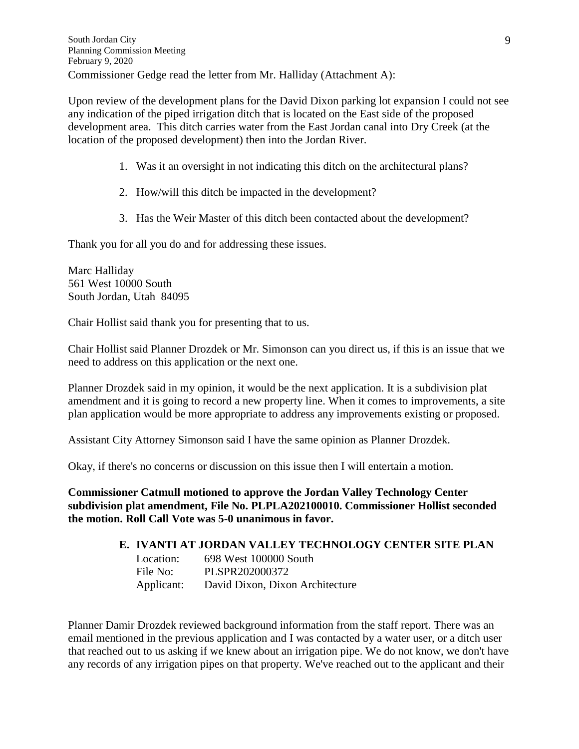Upon review of the development plans for the David Dixon parking lot expansion I could not see any indication of the piped irrigation ditch that is located on the East side of the proposed development area. This ditch carries water from the East Jordan canal into Dry Creek (at the location of the proposed development) then into the Jordan River.

- 1. Was it an oversight in not indicating this ditch on the architectural plans?
- 2. How/will this ditch be impacted in the development?
- 3. Has the Weir Master of this ditch been contacted about the development?

Thank you for all you do and for addressing these issues.

Marc Halliday 561 West 10000 South South Jordan, Utah 84095

Chair Hollist said thank you for presenting that to us.

Chair Hollist said Planner Drozdek or Mr. Simonson can you direct us, if this is an issue that we need to address on this application or the next one.

Planner Drozdek said in my opinion, it would be the next application. It is a subdivision plat amendment and it is going to record a new property line. When it comes to improvements, a site plan application would be more appropriate to address any improvements existing or proposed.

Assistant City Attorney Simonson said I have the same opinion as Planner Drozdek.

Okay, if there's no concerns or discussion on this issue then I will entertain a motion.

**Commissioner Catmull motioned to approve the Jordan Valley Technology Center subdivision plat amendment, File No. PLPLA202100010. Commissioner Hollist seconded the motion. Roll Call Vote was 5-0 unanimous in favor.**

## **E. IVANTI AT JORDAN VALLEY TECHNOLOGY CENTER SITE PLAN**

Location: 698 West 100000 South File No: PLSPR202000372 Applicant: David Dixon, Dixon Architecture

Planner Damir Drozdek reviewed background information from the staff report. There was an email mentioned in the previous application and I was contacted by a water user, or a ditch user that reached out to us asking if we knew about an irrigation pipe. We do not know, we don't have any records of any irrigation pipes on that property. We've reached out to the applicant and their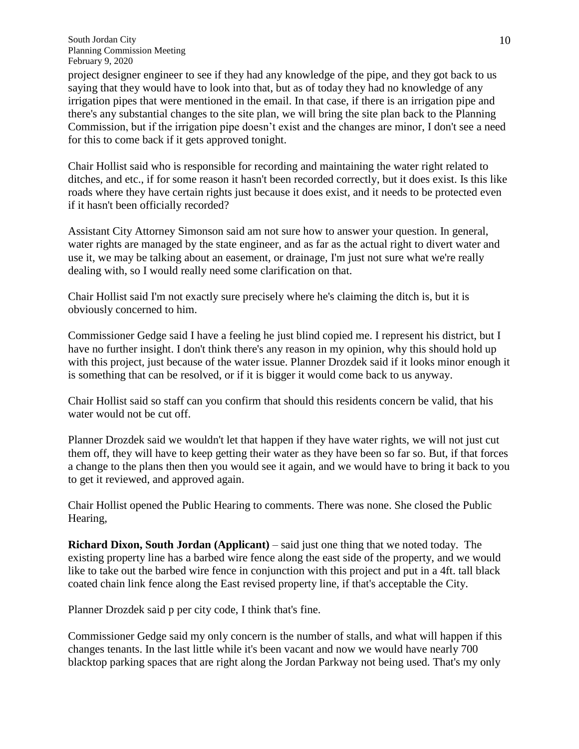project designer engineer to see if they had any knowledge of the pipe, and they got back to us saying that they would have to look into that, but as of today they had no knowledge of any irrigation pipes that were mentioned in the email. In that case, if there is an irrigation pipe and there's any substantial changes to the site plan, we will bring the site plan back to the Planning Commission, but if the irrigation pipe doesn't exist and the changes are minor, I don't see a need for this to come back if it gets approved tonight.

Chair Hollist said who is responsible for recording and maintaining the water right related to ditches, and etc., if for some reason it hasn't been recorded correctly, but it does exist. Is this like roads where they have certain rights just because it does exist, and it needs to be protected even if it hasn't been officially recorded?

Assistant City Attorney Simonson said am not sure how to answer your question. In general, water rights are managed by the state engineer, and as far as the actual right to divert water and use it, we may be talking about an easement, or drainage, I'm just not sure what we're really dealing with, so I would really need some clarification on that.

Chair Hollist said I'm not exactly sure precisely where he's claiming the ditch is, but it is obviously concerned to him.

Commissioner Gedge said I have a feeling he just blind copied me. I represent his district, but I have no further insight. I don't think there's any reason in my opinion, why this should hold up with this project, just because of the water issue. Planner Drozdek said if it looks minor enough it is something that can be resolved, or if it is bigger it would come back to us anyway.

Chair Hollist said so staff can you confirm that should this residents concern be valid, that his water would not be cut off.

Planner Drozdek said we wouldn't let that happen if they have water rights, we will not just cut them off, they will have to keep getting their water as they have been so far so. But, if that forces a change to the plans then then you would see it again, and we would have to bring it back to you to get it reviewed, and approved again.

Chair Hollist opened the Public Hearing to comments. There was none. She closed the Public Hearing,

**Richard Dixon, South Jordan (Applicant)** – said just one thing that we noted today. The existing property line has a barbed wire fence along the east side of the property, and we would like to take out the barbed wire fence in conjunction with this project and put in a 4ft. tall black coated chain link fence along the East revised property line, if that's acceptable the City.

Planner Drozdek said p per city code, I think that's fine.

Commissioner Gedge said my only concern is the number of stalls, and what will happen if this changes tenants. In the last little while it's been vacant and now we would have nearly 700 blacktop parking spaces that are right along the Jordan Parkway not being used. That's my only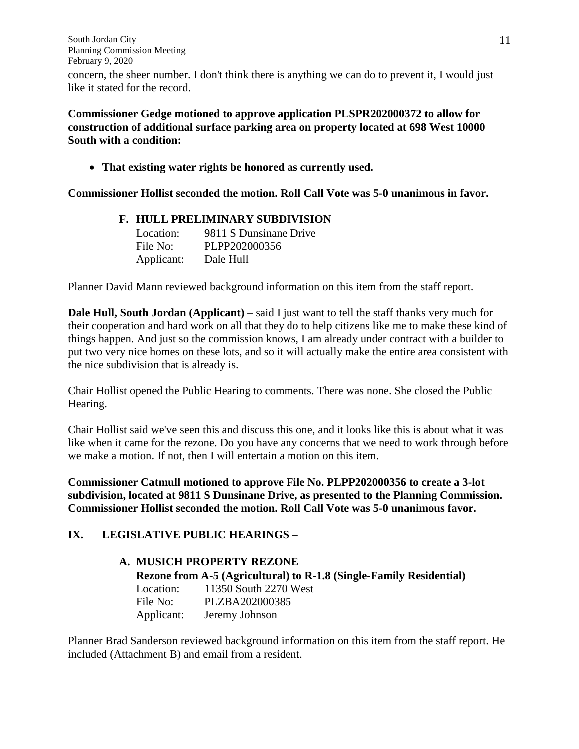concern, the sheer number. I don't think there is anything we can do to prevent it, I would just like it stated for the record.

**Commissioner Gedge motioned to approve application PLSPR202000372 to allow for construction of additional surface parking area on property located at 698 West 10000 South with a condition:**

**That existing water rights be honored as currently used.**

**Commissioner Hollist seconded the motion. Roll Call Vote was 5-0 unanimous in favor.**

#### **F. HULL PRELIMINARY SUBDIVISION**

| Location:  | 9811 S Dunsinane Drive |
|------------|------------------------|
| File No:   | PLPP202000356          |
| Applicant: | Dale Hull              |

Planner David Mann reviewed background information on this item from the staff report.

**Dale Hull, South Jordan (Applicant)** – said I just want to tell the staff thanks very much for their cooperation and hard work on all that they do to help citizens like me to make these kind of things happen. And just so the commission knows, I am already under contract with a builder to put two very nice homes on these lots, and so it will actually make the entire area consistent with the nice subdivision that is already is.

Chair Hollist opened the Public Hearing to comments. There was none. She closed the Public Hearing.

Chair Hollist said we've seen this and discuss this one, and it looks like this is about what it was like when it came for the rezone. Do you have any concerns that we need to work through before we make a motion. If not, then I will entertain a motion on this item.

**Commissioner Catmull motioned to approve File No. PLPP202000356 to create a 3-lot subdivision, located at 9811 S Dunsinane Drive, as presented to the Planning Commission. Commissioner Hollist seconded the motion. Roll Call Vote was 5-0 unanimous favor.**

## **IX. LEGISLATIVE PUBLIC HEARINGS –**

## **A. MUSICH PROPERTY REZONE**

**Rezone from A-5 (Agricultural) to R-1.8 (Single-Family Residential)** Location: 11350 South 2270 West File No: PLZBA202000385 Applicant: Jeremy Johnson

Planner Brad Sanderson reviewed background information on this item from the staff report. He included (Attachment B) and email from a resident.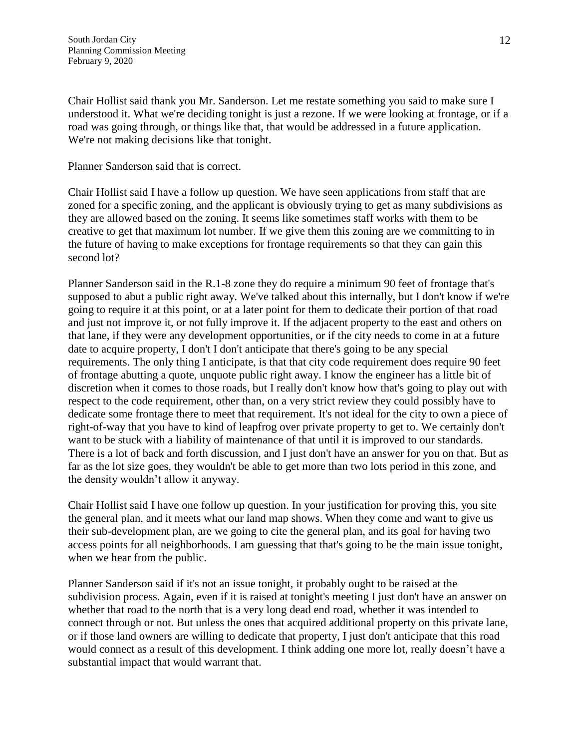Chair Hollist said thank you Mr. Sanderson. Let me restate something you said to make sure I understood it. What we're deciding tonight is just a rezone. If we were looking at frontage, or if a road was going through, or things like that, that would be addressed in a future application. We're not making decisions like that tonight.

Planner Sanderson said that is correct.

Chair Hollist said I have a follow up question. We have seen applications from staff that are zoned for a specific zoning, and the applicant is obviously trying to get as many subdivisions as they are allowed based on the zoning. It seems like sometimes staff works with them to be creative to get that maximum lot number. If we give them this zoning are we committing to in the future of having to make exceptions for frontage requirements so that they can gain this second lot?

Planner Sanderson said in the R.1-8 zone they do require a minimum 90 feet of frontage that's supposed to abut a public right away. We've talked about this internally, but I don't know if we're going to require it at this point, or at a later point for them to dedicate their portion of that road and just not improve it, or not fully improve it. If the adjacent property to the east and others on that lane, if they were any development opportunities, or if the city needs to come in at a future date to acquire property, I don't I don't anticipate that there's going to be any special requirements. The only thing I anticipate, is that that city code requirement does require 90 feet of frontage abutting a quote, unquote public right away. I know the engineer has a little bit of discretion when it comes to those roads, but I really don't know how that's going to play out with respect to the code requirement, other than, on a very strict review they could possibly have to dedicate some frontage there to meet that requirement. It's not ideal for the city to own a piece of right-of-way that you have to kind of leapfrog over private property to get to. We certainly don't want to be stuck with a liability of maintenance of that until it is improved to our standards. There is a lot of back and forth discussion, and I just don't have an answer for you on that. But as far as the lot size goes, they wouldn't be able to get more than two lots period in this zone, and the density wouldn't allow it anyway.

Chair Hollist said I have one follow up question. In your justification for proving this, you site the general plan, and it meets what our land map shows. When they come and want to give us their sub-development plan, are we going to cite the general plan, and its goal for having two access points for all neighborhoods. I am guessing that that's going to be the main issue tonight, when we hear from the public.

Planner Sanderson said if it's not an issue tonight, it probably ought to be raised at the subdivision process. Again, even if it is raised at tonight's meeting I just don't have an answer on whether that road to the north that is a very long dead end road, whether it was intended to connect through or not. But unless the ones that acquired additional property on this private lane, or if those land owners are willing to dedicate that property, I just don't anticipate that this road would connect as a result of this development. I think adding one more lot, really doesn't have a substantial impact that would warrant that.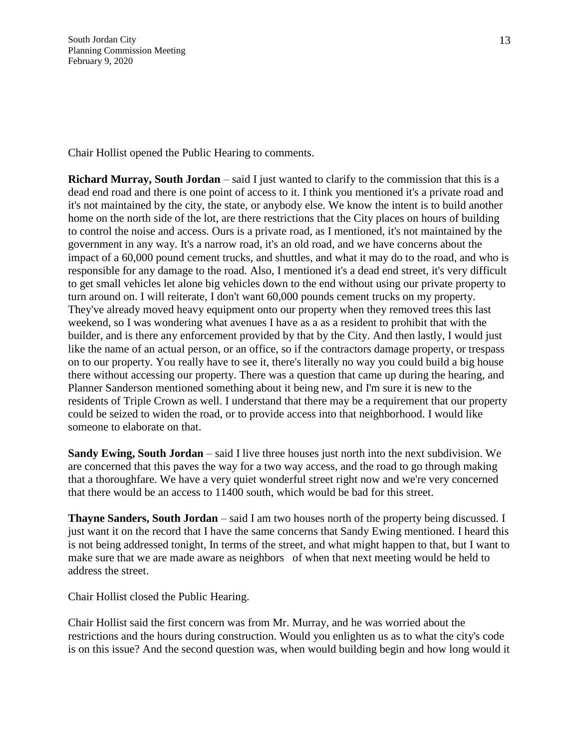Chair Hollist opened the Public Hearing to comments.

**Richard Murray, South Jordan** – said I just wanted to clarify to the commission that this is a dead end road and there is one point of access to it. I think you mentioned it's a private road and it's not maintained by the city, the state, or anybody else. We know the intent is to build another home on the north side of the lot, are there restrictions that the City places on hours of building to control the noise and access. Ours is a private road, as I mentioned, it's not maintained by the government in any way. It's a narrow road, it's an old road, and we have concerns about the impact of a 60,000 pound cement trucks, and shuttles, and what it may do to the road, and who is responsible for any damage to the road. Also, I mentioned it's a dead end street, it's very difficult to get small vehicles let alone big vehicles down to the end without using our private property to turn around on. I will reiterate, I don't want 60,000 pounds cement trucks on my property. They've already moved heavy equipment onto our property when they removed trees this last weekend, so I was wondering what avenues I have as a as a resident to prohibit that with the builder, and is there any enforcement provided by that by the City. And then lastly, I would just like the name of an actual person, or an office, so if the contractors damage property, or trespass on to our property. You really have to see it, there's literally no way you could build a big house there without accessing our property. There was a question that came up during the hearing, and Planner Sanderson mentioned something about it being new, and I'm sure it is new to the residents of Triple Crown as well. I understand that there may be a requirement that our property could be seized to widen the road, or to provide access into that neighborhood. I would like someone to elaborate on that.

**Sandy Ewing, South Jordan** – said I live three houses just north into the next subdivision. We are concerned that this paves the way for a two way access, and the road to go through making that a thoroughfare. We have a very quiet wonderful street right now and we're very concerned that there would be an access to 11400 south, which would be bad for this street.

**Thayne Sanders, South Jordan** – said I am two houses north of the property being discussed. I just want it on the record that I have the same concerns that Sandy Ewing mentioned. I heard this is not being addressed tonight, In terms of the street, and what might happen to that, but I want to make sure that we are made aware as neighbors of when that next meeting would be held to address the street.

Chair Hollist closed the Public Hearing.

Chair Hollist said the first concern was from Mr. Murray, and he was worried about the restrictions and the hours during construction. Would you enlighten us as to what the city's code is on this issue? And the second question was, when would building begin and how long would it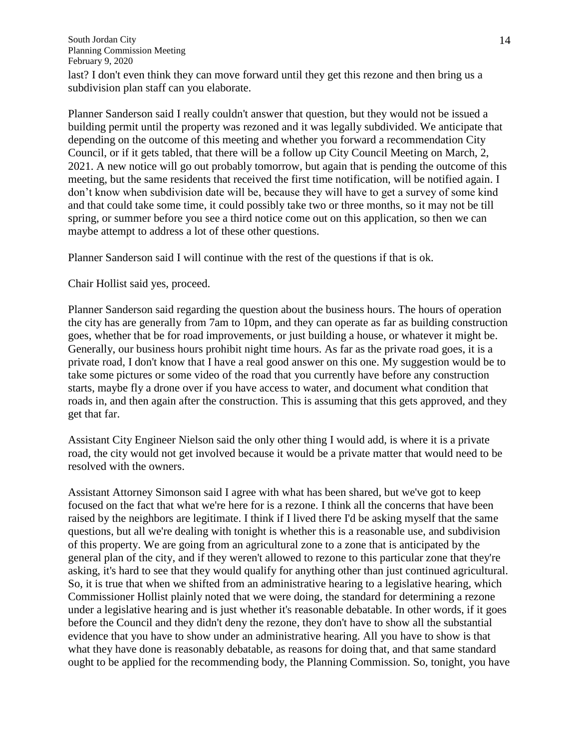last? I don't even think they can move forward until they get this rezone and then bring us a subdivision plan staff can you elaborate.

Planner Sanderson said I really couldn't answer that question, but they would not be issued a building permit until the property was rezoned and it was legally subdivided. We anticipate that depending on the outcome of this meeting and whether you forward a recommendation City Council, or if it gets tabled, that there will be a follow up City Council Meeting on March, 2, 2021. A new notice will go out probably tomorrow, but again that is pending the outcome of this meeting, but the same residents that received the first time notification, will be notified again. I don't know when subdivision date will be, because they will have to get a survey of some kind and that could take some time, it could possibly take two or three months, so it may not be till spring, or summer before you see a third notice come out on this application, so then we can maybe attempt to address a lot of these other questions.

Planner Sanderson said I will continue with the rest of the questions if that is ok.

Chair Hollist said yes, proceed.

Planner Sanderson said regarding the question about the business hours. The hours of operation the city has are generally from 7am to 10pm, and they can operate as far as building construction goes, whether that be for road improvements, or just building a house, or whatever it might be. Generally, our business hours prohibit night time hours. As far as the private road goes, it is a private road, I don't know that I have a real good answer on this one. My suggestion would be to take some pictures or some video of the road that you currently have before any construction starts, maybe fly a drone over if you have access to water, and document what condition that roads in, and then again after the construction. This is assuming that this gets approved, and they get that far.

Assistant City Engineer Nielson said the only other thing I would add, is where it is a private road, the city would not get involved because it would be a private matter that would need to be resolved with the owners.

Assistant Attorney Simonson said I agree with what has been shared, but we've got to keep focused on the fact that what we're here for is a rezone. I think all the concerns that have been raised by the neighbors are legitimate. I think if I lived there I'd be asking myself that the same questions, but all we're dealing with tonight is whether this is a reasonable use, and subdivision of this property. We are going from an agricultural zone to a zone that is anticipated by the general plan of the city, and if they weren't allowed to rezone to this particular zone that they're asking, it's hard to see that they would qualify for anything other than just continued agricultural. So, it is true that when we shifted from an administrative hearing to a legislative hearing, which Commissioner Hollist plainly noted that we were doing, the standard for determining a rezone under a legislative hearing and is just whether it's reasonable debatable. In other words, if it goes before the Council and they didn't deny the rezone, they don't have to show all the substantial evidence that you have to show under an administrative hearing. All you have to show is that what they have done is reasonably debatable, as reasons for doing that, and that same standard ought to be applied for the recommending body, the Planning Commission. So, tonight, you have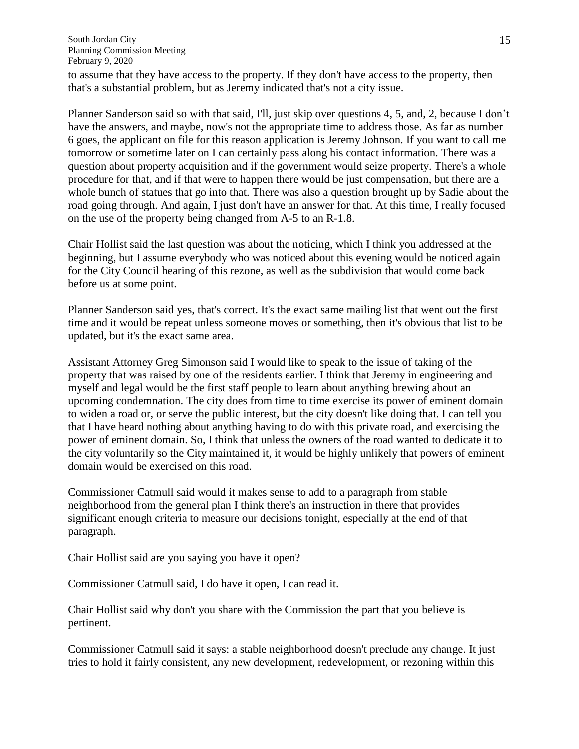to assume that they have access to the property. If they don't have access to the property, then that's a substantial problem, but as Jeremy indicated that's not a city issue.

Planner Sanderson said so with that said, I'll, just skip over questions 4, 5, and, 2, because I don't have the answers, and maybe, now's not the appropriate time to address those. As far as number 6 goes, the applicant on file for this reason application is Jeremy Johnson. If you want to call me tomorrow or sometime later on I can certainly pass along his contact information. There was a question about property acquisition and if the government would seize property. There's a whole procedure for that, and if that were to happen there would be just compensation, but there are a whole bunch of statues that go into that. There was also a question brought up by Sadie about the road going through. And again, I just don't have an answer for that. At this time, I really focused on the use of the property being changed from A-5 to an R-1.8.

Chair Hollist said the last question was about the noticing, which I think you addressed at the beginning, but I assume everybody who was noticed about this evening would be noticed again for the City Council hearing of this rezone, as well as the subdivision that would come back before us at some point.

Planner Sanderson said yes, that's correct. It's the exact same mailing list that went out the first time and it would be repeat unless someone moves or something, then it's obvious that list to be updated, but it's the exact same area.

Assistant Attorney Greg Simonson said I would like to speak to the issue of taking of the property that was raised by one of the residents earlier. I think that Jeremy in engineering and myself and legal would be the first staff people to learn about anything brewing about an upcoming condemnation. The city does from time to time exercise its power of eminent domain to widen a road or, or serve the public interest, but the city doesn't like doing that. I can tell you that I have heard nothing about anything having to do with this private road, and exercising the power of eminent domain. So, I think that unless the owners of the road wanted to dedicate it to the city voluntarily so the City maintained it, it would be highly unlikely that powers of eminent domain would be exercised on this road.

Commissioner Catmull said would it makes sense to add to a paragraph from stable neighborhood from the general plan I think there's an instruction in there that provides significant enough criteria to measure our decisions tonight, especially at the end of that paragraph.

Chair Hollist said are you saying you have it open?

Commissioner Catmull said, I do have it open, I can read it.

Chair Hollist said why don't you share with the Commission the part that you believe is pertinent.

Commissioner Catmull said it says: a stable neighborhood doesn't preclude any change. It just tries to hold it fairly consistent, any new development, redevelopment, or rezoning within this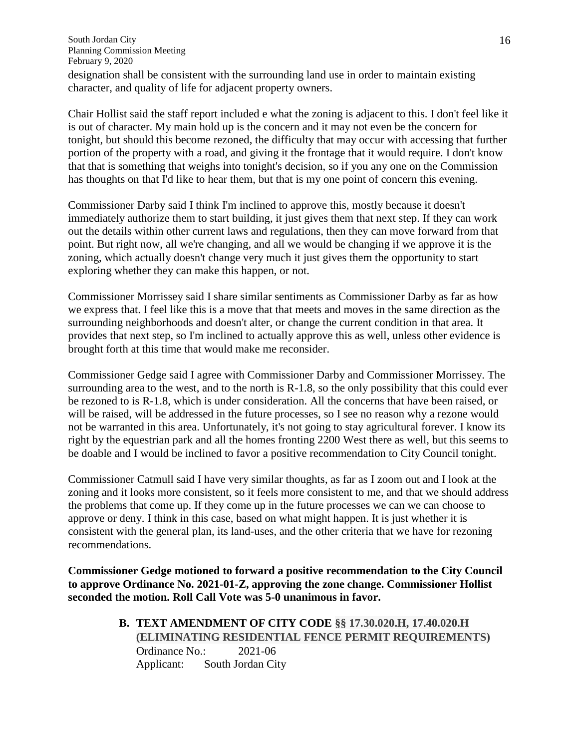designation shall be consistent with the surrounding land use in order to maintain existing character, and quality of life for adjacent property owners.

Chair Hollist said the staff report included e what the zoning is adjacent to this. I don't feel like it is out of character. My main hold up is the concern and it may not even be the concern for tonight, but should this become rezoned, the difficulty that may occur with accessing that further portion of the property with a road, and giving it the frontage that it would require. I don't know that that is something that weighs into tonight's decision, so if you any one on the Commission has thoughts on that I'd like to hear them, but that is my one point of concern this evening.

Commissioner Darby said I think I'm inclined to approve this, mostly because it doesn't immediately authorize them to start building, it just gives them that next step. If they can work out the details within other current laws and regulations, then they can move forward from that point. But right now, all we're changing, and all we would be changing if we approve it is the zoning, which actually doesn't change very much it just gives them the opportunity to start exploring whether they can make this happen, or not.

Commissioner Morrissey said I share similar sentiments as Commissioner Darby as far as how we express that. I feel like this is a move that that meets and moves in the same direction as the surrounding neighborhoods and doesn't alter, or change the current condition in that area. It provides that next step, so I'm inclined to actually approve this as well, unless other evidence is brought forth at this time that would make me reconsider.

Commissioner Gedge said I agree with Commissioner Darby and Commissioner Morrissey. The surrounding area to the west, and to the north is R-1.8, so the only possibility that this could ever be rezoned to is R-1.8, which is under consideration. All the concerns that have been raised, or will be raised, will be addressed in the future processes, so I see no reason why a rezone would not be warranted in this area. Unfortunately, it's not going to stay agricultural forever. I know its right by the equestrian park and all the homes fronting 2200 West there as well, but this seems to be doable and I would be inclined to favor a positive recommendation to City Council tonight.

Commissioner Catmull said I have very similar thoughts, as far as I zoom out and I look at the zoning and it looks more consistent, so it feels more consistent to me, and that we should address the problems that come up. If they come up in the future processes we can we can choose to approve or deny. I think in this case, based on what might happen. It is just whether it is consistent with the general plan, its land-uses, and the other criteria that we have for rezoning recommendations.

**Commissioner Gedge motioned to forward a positive recommendation to the City Council to approve Ordinance No. 2021-01-Z, approving the zone change. Commissioner Hollist seconded the motion. Roll Call Vote was 5-0 unanimous in favor.**

> **B. TEXT AMENDMENT OF CITY CODE §§ 17.30.020.H, 17.40.020.H (ELIMINATING RESIDENTIAL FENCE PERMIT REQUIREMENTS)** Ordinance No.: 2021-06 Applicant: South Jordan City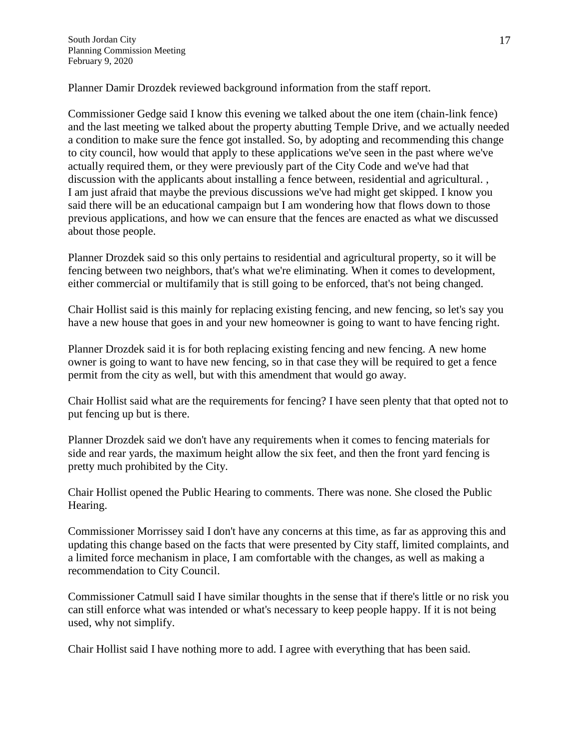Planner Damir Drozdek reviewed background information from the staff report.

Commissioner Gedge said I know this evening we talked about the one item (chain-link fence) and the last meeting we talked about the property abutting Temple Drive, and we actually needed a condition to make sure the fence got installed. So, by adopting and recommending this change to city council, how would that apply to these applications we've seen in the past where we've actually required them, or they were previously part of the City Code and we've had that discussion with the applicants about installing a fence between, residential and agricultural. , I am just afraid that maybe the previous discussions we've had might get skipped. I know you said there will be an educational campaign but I am wondering how that flows down to those previous applications, and how we can ensure that the fences are enacted as what we discussed about those people.

Planner Drozdek said so this only pertains to residential and agricultural property, so it will be fencing between two neighbors, that's what we're eliminating. When it comes to development, either commercial or multifamily that is still going to be enforced, that's not being changed.

Chair Hollist said is this mainly for replacing existing fencing, and new fencing, so let's say you have a new house that goes in and your new homeowner is going to want to have fencing right.

Planner Drozdek said it is for both replacing existing fencing and new fencing. A new home owner is going to want to have new fencing, so in that case they will be required to get a fence permit from the city as well, but with this amendment that would go away.

Chair Hollist said what are the requirements for fencing? I have seen plenty that that opted not to put fencing up but is there.

Planner Drozdek said we don't have any requirements when it comes to fencing materials for side and rear yards, the maximum height allow the six feet, and then the front yard fencing is pretty much prohibited by the City.

Chair Hollist opened the Public Hearing to comments. There was none. She closed the Public Hearing.

Commissioner Morrissey said I don't have any concerns at this time, as far as approving this and updating this change based on the facts that were presented by City staff, limited complaints, and a limited force mechanism in place, I am comfortable with the changes, as well as making a recommendation to City Council.

Commissioner Catmull said I have similar thoughts in the sense that if there's little or no risk you can still enforce what was intended or what's necessary to keep people happy. If it is not being used, why not simplify.

Chair Hollist said I have nothing more to add. I agree with everything that has been said.